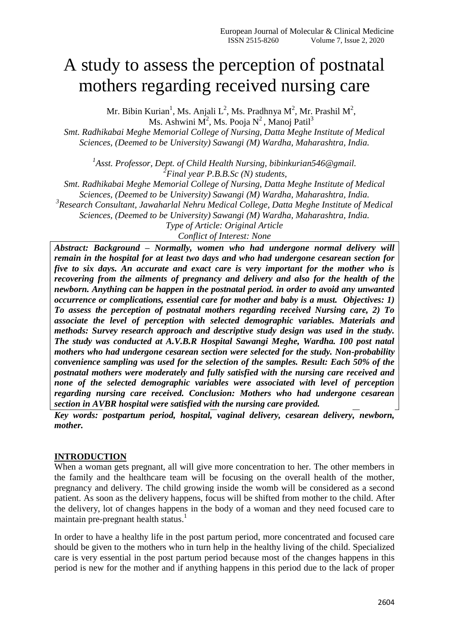# A study to assess the perception of postnatal mothers regarding received nursing care

Mr. Bibin Kurian<sup>1</sup>, Ms. Anjali L<sup>2</sup>, Ms. Pradhnya M<sup>2</sup>, Mr. Prashil M<sup>2</sup>, Ms. Ashwini  $\mathbf{M}^2$ , Ms. Pooja  $\mathbf{N}^2$ , Manoj Patil $^3$ 

*Smt. Radhikabai Meghe Memorial College of Nursing, Datta Meghe Institute of Medical Sciences, (Deemed to be University) Sawangi (M) Wardha, Maharashtra, India.*

*1 Asst. Professor, Dept. of Child Health Nursing, bibinkurian546@gmail. 2 Final year P.B.B.Sc (N) students,* 

*Smt. Radhikabai Meghe Memorial College of Nursing, Datta Meghe Institute of Medical Sciences, (Deemed to be University) Sawangi (M) Wardha, Maharashtra, India. 3 Research Consultant, Jawaharlal Nehru Medical College, Datta Meghe Institute of Medical Sciences, (Deemed to be University) Sawangi (M) Wardha, Maharashtra, India. Type of Article: Original Article*

*Conflict of Interest: None*

*Abstract: Background – Normally, women who had undergone normal delivery will remain in the hospital for at least two days and who had undergone cesarean section for five to six days. An accurate and exact care is very important for the mother who is recovering from the ailments of pregnancy and delivery and also for the health of the newborn. Anything can be happen in the postnatal period. in order to avoid any unwanted occurrence or complications, essential care for mother and baby is a must. Objectives: 1) To assess the perception of postnatal mothers regarding received Nursing care, 2) To associate the level of perception with selected demographic variables. Materials and methods: Survey research approach and descriptive study design was used in the study. The study was conducted at A.V.B.R Hospital Sawangi Meghe, Wardha. 100 post natal mothers who had undergone cesarean section were selected for the study. Non-probability convenience sampling was used for the selection of the samples. Result: Each 50% of the postnatal mothers were moderately and fully satisfied with the nursing care received and none of the selected demographic variables were associated with level of perception regarding nursing care received. Conclusion: Mothers who had undergone cesarean section in AVBR hospital were satisfied with the nursing care provided.* 

*Key words: postpartum period, hospital, vaginal delivery, cesarean delivery, newborn, mother.*

## **INTRODUCTION**

When a woman gets pregnant, all will give more concentration to her. The other members in the family and the healthcare team will be focusing on the overall health of the mother, pregnancy and delivery. The child growing inside the womb will be considered as a second patient. As soon as the delivery happens, focus will be shifted from mother to the child. After the delivery, lot of changes happens in the body of a woman and they need focused care to maintain pre-pregnant health status. 1

In order to have a healthy life in the post partum period, more concentrated and focused care should be given to the mothers who in turn help in the healthy living of the child. Specialized care is very essential in the post partum period because most of the changes happens in this period is new for the mother and if anything happens in this period due to the lack of proper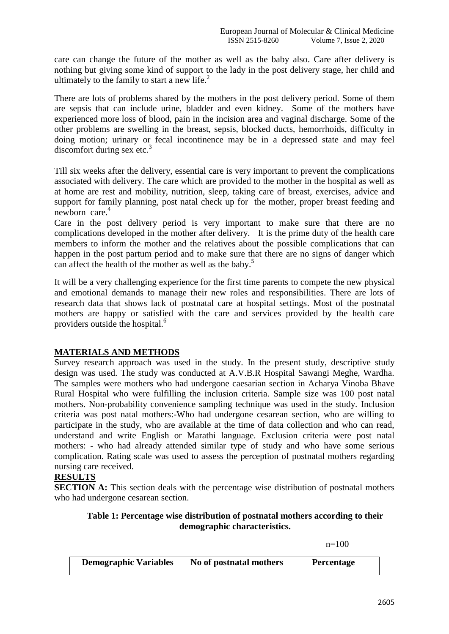care can change the future of the mother as well as the baby also. Care after delivery is nothing but giving some kind of support to the lady in the post delivery stage, her child and ultimately to the family to start a new life.<sup>2</sup>

There are lots of problems shared by the mothers in the post delivery period. Some of them are sepsis that can include urine, bladder and even kidney. Some of the mothers have experienced more loss of blood, pain in the incision area and vaginal discharge. Some of the other problems are swelling in the breast, sepsis, blocked ducts, hemorrhoids, difficulty in doing motion; urinary or fecal incontinence may be in a depressed state and may feel discomfort during sex etc. $3$ 

Till six weeks after the delivery, essential care is very important to prevent the complications associated with delivery. The care which are provided to the mother in the hospital as well as at home are rest and mobility, nutrition, sleep, taking care of breast, exercises, advice and support for family planning, post natal check up for the mother, proper breast feeding and newborn care. $4$ 

Care in the post delivery period is very important to make sure that there are no complications developed in the mother after delivery. It is the prime duty of the health care members to inform the mother and the relatives about the possible complications that can happen in the post partum period and to make sure that there are no signs of danger which can affect the health of the mother as well as the baby. 5

It will be a very challenging experience for the first time parents to compete the new physical and emotional demands to manage their new roles and responsibilities. There are lots of research data that shows lack of postnatal care at hospital settings. Most of the postnatal mothers are happy or satisfied with the care and services provided by the health care providers outside the hospital.<sup>6</sup>

## **MATERIALS AND METHODS**

Survey research approach was used in the study. In the present study, descriptive study design was used. The study was conducted at A.V.B.R Hospital Sawangi Meghe, Wardha. The samples were mothers who had undergone caesarian section in Acharya Vinoba Bhave Rural Hospital who were fulfilling the inclusion criteria. Sample size was 100 post natal mothers. Non-probability convenience sampling technique was used in the study. Inclusion criteria was post natal mothers:-Who had undergone cesarean section, who are willing to participate in the study, who are available at the time of data collection and who can read, understand and write English or Marathi language. Exclusion criteria were post natal mothers: - who had already attended similar type of study and who have some serious complication. Rating scale was used to assess the perception of postnatal mothers regarding nursing care received.

# **RESULTS**

**SECTION A:** This section deals with the percentage wise distribution of postnatal mothers who had undergone cesarean section.

#### **Table 1: Percentage wise distribution of postnatal mothers according to their demographic characteristics.**

 $n=100$ 

| <b>Demographic Variables</b> | No of postnatal mothers | <b>Percentage</b> |
|------------------------------|-------------------------|-------------------|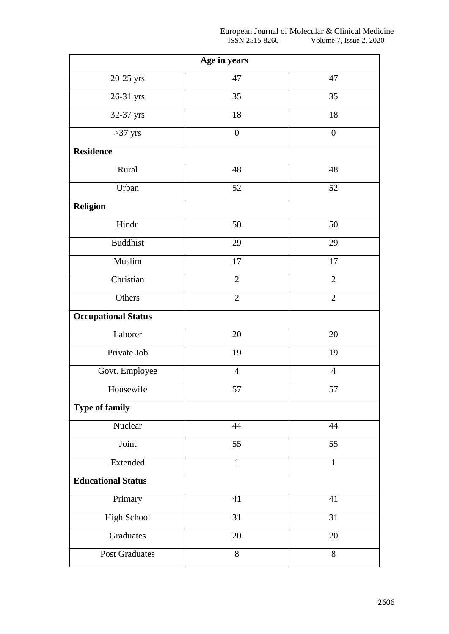| Age in years               |                  |                  |  |  |
|----------------------------|------------------|------------------|--|--|
| 20-25 yrs                  | 47               | 47               |  |  |
| 26-31 yrs                  | 35               | 35               |  |  |
| 32-37 yrs                  | 18               | 18               |  |  |
| $>37$ yrs                  | $\boldsymbol{0}$ | $\boldsymbol{0}$ |  |  |
| <b>Residence</b>           |                  |                  |  |  |
| Rural                      | 48               | 48               |  |  |
| Urban                      | 52               | 52               |  |  |
| <b>Religion</b>            |                  |                  |  |  |
| Hindu                      | 50               | 50               |  |  |
| <b>Buddhist</b>            | 29               | 29               |  |  |
| Muslim                     | 17               | $17\,$           |  |  |
| Christian                  | $\mathbf{2}$     | $\overline{2}$   |  |  |
| Others                     | $\overline{2}$   | $\overline{2}$   |  |  |
| <b>Occupational Status</b> |                  |                  |  |  |
| Laborer                    | 20               | 20               |  |  |
| Private Job                | 19               | 19               |  |  |
| Govt. Employee             | $\overline{4}$   | $\overline{4}$   |  |  |
| Housewife                  | 57               | 57               |  |  |
| Type of family             |                  |                  |  |  |
| Nuclear                    | 44               | 44               |  |  |
| Joint                      | 55               | 55               |  |  |
| Extended                   | $\mathbf{1}$     | $\mathbf{1}$     |  |  |
| <b>Educational Status</b>  |                  |                  |  |  |
| Primary                    | 41               | 41               |  |  |
| High School                | 31               | 31               |  |  |
| Graduates                  | 20               | 20               |  |  |
| <b>Post Graduates</b>      | $8\,$            | 8                |  |  |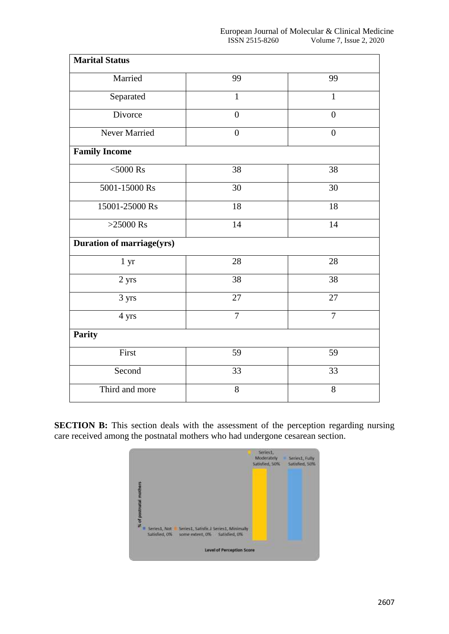| <b>Marital Status</b>            |                |                |
|----------------------------------|----------------|----------------|
| Married                          | 99             | 99             |
| Separated                        | $\mathbf{1}$   | $\mathbf{1}$   |
| Divorce                          | $\overline{0}$ | $\overline{0}$ |
| Never Married                    | $\overline{0}$ | $\overline{0}$ |
| <b>Family Income</b>             |                |                |
| $<$ 5000 Rs                      | 38             | 38             |
| 5001-15000 Rs                    | 30             | 30             |
| 15001-25000 Rs                   | 18             | 18             |
| $>25000$ Rs                      | 14             | 14             |
| <b>Duration of marriage(yrs)</b> |                |                |
| 1 <sub>yr</sub>                  | 28             | 28             |
| $2 \ \mathrm{yrs}$               | 38             | 38             |
| 3 yrs                            | 27             | 27             |
| 4 yrs                            | $\overline{7}$ | $\overline{7}$ |
| Parity                           |                |                |
| First                            | 59             | 59             |
| Second                           | 33             | 33             |
| Third and more                   | 8              | 8              |

**SECTION B:** This section deals with the assessment of the perception regarding nursing care received among the postnatal mothers who had undergone cesarean section.

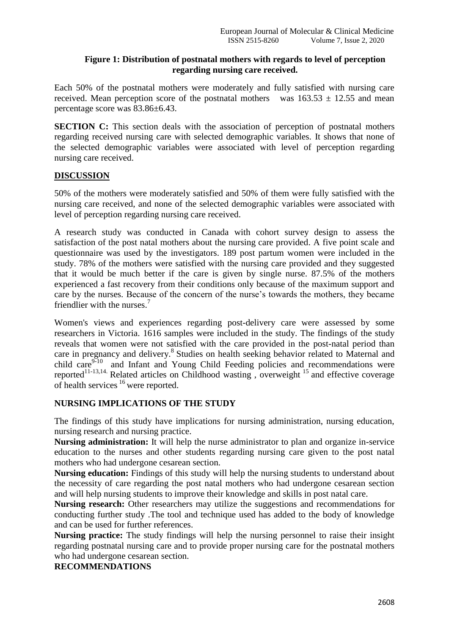#### **Figure 1: Distribution of postnatal mothers with regards to level of perception regarding nursing care received.**

Each 50% of the postnatal mothers were moderately and fully satisfied with nursing care received. Mean perception score of the postnatal mothers was  $163.53 \pm 12.55$  and mean percentage score was 83.86±6.43.

**SECTION C:** This section deals with the association of perception of postnatal mothers regarding received nursing care with selected demographic variables. It shows that none of the selected demographic variables were associated with level of perception regarding nursing care received.

#### **DISCUSSION**

50% of the mothers were moderately satisfied and 50% of them were fully satisfied with the nursing care received, and none of the selected demographic variables were associated with level of perception regarding nursing care received.

A research study was conducted in Canada with cohort survey design to assess the satisfaction of the post natal mothers about the nursing care provided. A five point scale and questionnaire was used by the investigators. 189 post partum women were included in the study. 78% of the mothers were satisfied with the nursing care provided and they suggested that it would be much better if the care is given by single nurse. 87.5% of the mothers experienced a fast recovery from their conditions only because of the maximum support and care by the nurses. Because of the concern of the nurse's towards the mothers, they became friendlier with the nurses<sup>7</sup>

Women's views and experiences regarding post-delivery care were assessed by some researchers in Victoria. 1616 samples were included in the study. The findings of the study reveals that women were not satisfied with the care provided in the post-natal period than care in pregnancy and delivery.<sup>8</sup> Studies on health seeking behavior related to Maternal and child care<sup>9-10</sup> and Infant and Young Child Feeding policies and recommendations were reported<sup>11-13,14.</sup> Related articles on Childhood wasting, overweight  $15$  and effective coverage of health services <sup>16</sup> were reported.

#### **NURSING IMPLICATIONS OF THE STUDY**

The findings of this study have implications for nursing administration, nursing education, nursing research and nursing practice.

**Nursing administration:** It will help the nurse administrator to plan and organize in-service education to the nurses and other students regarding nursing care given to the post natal mothers who had undergone cesarean section.

**Nursing education:** Findings of this study will help the nursing students to understand about the necessity of care regarding the post natal mothers who had undergone cesarean section and will help nursing students to improve their knowledge and skills in post natal care.

**Nursing research:** Other researchers may utilize the suggestions and recommendations for conducting further study .The tool and technique used has added to the body of knowledge and can be used for further references.

**Nursing practice:** The study findings will help the nursing personnel to raise their insight regarding postnatal nursing care and to provide proper nursing care for the postnatal mothers who had undergone cesarean section.

#### **RECOMMENDATIONS**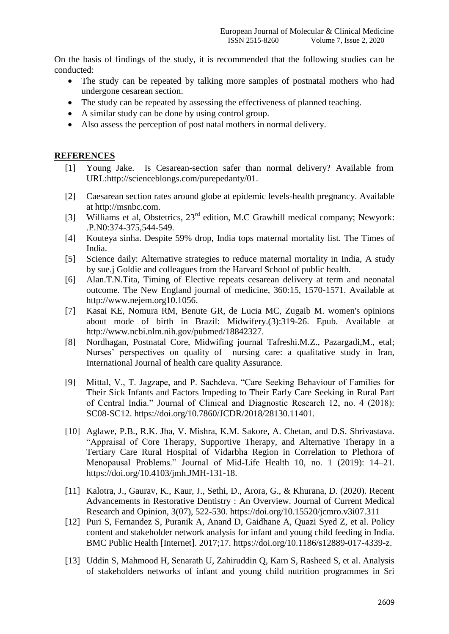On the basis of findings of the study, it is recommended that the following studies can be conducted:

- The study can be repeated by talking more samples of postnatal mothers who had undergone cesarean section.
- The study can be repeated by assessing the effectiveness of planned teaching.
- A similar study can be done by using control group.
- Also assess the perception of post natal mothers in normal delivery.

#### **REFERENCES**

- [1] Young Jake. Is Cesarean-section safer than normal delivery? Available from [URL:http://scienceblongs.com/purepedanty/01.](http://scienceblongs.com/purepedanty/01)
- [2] Caesarean section rates around globe at epidemic levels-health pregnancy. Available at http://msnbc.com.
- [3] Williams et al, Obstetrics, 23<sup>rd</sup> edition, M.C Grawhill medical company; Newyork: .P.N0:374-375,544-549.
- [4] Kouteya sinha. Despite 59% drop, India tops maternal mortality list. The Times of India.
- [5] Science daily: Alternative strategies to reduce maternal mortality in India, A study by sue.j Goldie and colleagues from the Harvard School of public health.
- [6] Alan.T.N.Tita, Timing of Elective repeats cesarean delivery at term and neonatal outcome. The New England journal of medicine, 360:15, 1570-1571. Available at [http://www.nejem.org10.1056.](http://www.nejem.org10.1056/)
- [7] Kasai KE, Nomura RM, Benute GR, de Lucia MC, Zugaib M. women's opinions about mode of birth in Brazil: Midwifery.(3):319-26. Epub. Available at http://www.ncbi.nlm.nih.gov/pubmed/18842327.
- [8] Nordhagan, Postnatal Core, Midwifing journal Tafreshi.M.Z., Pazargadi,M., etal; Nurses' perspectives on quality of nursing care: a qualitative study in Iran, International Journal of health care quality Assurance.
- [9] Mittal, V., T. Jagzape, and P. Sachdeva. "Care Seeking Behaviour of Families for Their Sick Infants and Factors Impeding to Their Early Care Seeking in Rural Part of Central India." Journal of Clinical and Diagnostic Research 12, no. 4 (2018): SC08-SC12. https://doi.org/10.7860/JCDR/2018/28130.11401.
- [10] Aglawe, P.B., R.K. Jha, V. Mishra, K.M. Sakore, A. Chetan, and D.S. Shrivastava. "Appraisal of Core Therapy, Supportive Therapy, and Alternative Therapy in a Tertiary Care Rural Hospital of Vidarbha Region in Correlation to Plethora of Menopausal Problems." Journal of Mid-Life Health 10, no. 1 (2019): 14–21. https://doi.org/10.4103/jmh.JMH-131-18.
- [11] Kalotra, J., Gaurav, K., Kaur, J., Sethi, D., Arora, G., & Khurana, D. (2020). Recent Advancements in Restorative Dentistry : An Overview. Journal of Current Medical Research and Opinion, 3(07), 522-530. https://doi.org/10.15520/jcmro.v3i07.311
- [12] Puri S, Fernandez S, Puranik A, Anand D, Gaidhane A, Quazi Syed Z, et al. Policy content and stakeholder network analysis for infant and young child feeding in India. BMC Public Health [Internet]. 2017;17. https://doi.org/10.1186/s12889-017-4339-z.
- [13] Uddin S, Mahmood H, Senarath U, Zahiruddin Q, Karn S, Rasheed S, et al. Analysis of stakeholders networks of infant and young child nutrition programmes in Sri